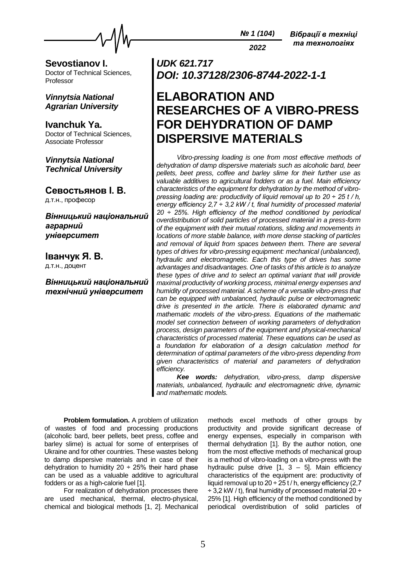

*2022*

**Sevostianov I.** Doctor of Technical Sciences, Professor

### *Vinnytsia National Agrarian University*

**Ivanchuk Ya.** Doctor of Technical Sciences, Associate Professor

*Vinnytsia National Technical University*

**Севостьянов І. В.** д.т.н., професор

*Вінницький національний аграрний університет*

**Іванчук Я. В.** д.т.н., доцент

*Вінницький національний технічний університет*

## *UDK 621.717 DOI: 10.37128/2306-8744-2022-1-1*

# **ELABORATION AND RESEARCHES OF A VIBRO-PRESS FOR DEHYDRATION OF DAMP DISPERSIVE MATERIALS**

*Vibro-pressing loading is one from most effective methods of dehydration of damp dispersive materials such as alcoholic bard, beer pellets, beet press, coffee and barley slime for their further use as valuable additives to agricultural fodders or as a fuel. Main efficiency characteristics of the equipment for dehydration by the method of vibropressing loading are: productivity of liquid removal up to 20 ÷ 25 t / h, energy efficiency 2,7 ÷ 3,2 kW / t, final humidity of processed material 20 ÷ 25%. High efficiency of the method conditioned by periodical overdistribution of solid particles of processed material in a press-form of the equipment with their mutual rotations, sliding and movements in locations of more stable balance, with more dense stacking of particles and removal of liquid from spaces between them. There are several types of drives for vibro-pressing equipment: mechanical (unbalanced), hydraulic and electromagnetic. Each this type of drives has some advantages and disadvantages. One of tasks of this article is to analyze these types of drive and to select an optimal variant that will provide maximal productivity of working process, minimal energy expenses and humidity of processed material. A scheme of a versatile vibro-press that can be equipped with unbalanced, hydraulic pulse or electromagnetic drive is presented in the article. There is elaborated dynamic and mathematic models of the vibro-press. Equations of the mathematic model set connection between of working parameters of dehydration process, design parameters of the equipment and physical-mechanical characteristics of processed material. These equations can be used as a foundation for elaboration of a design calculation method for determination of optimal parameters of the vibro-press depending from given characteristics of material and parameters of dehydration efficiency.*

*Kee words: dehydration, vibro-press, damp dispersive materials, unbalanced, hydraulic and electromagnetic drive, dynamic and mathematic models.*

**Problem formulation.** A problem of utilization of wastes of food and processing productions (alcoholic bard, beer pellets, beet press, coffee and barley slime) is actual for some of enterprises of Ukraine and for other countries. These wastes belong to damp dispersive materials and in case of their dehydration to humidity  $20 \div 25\%$  their hard phase can be used as a valuable additive to agricultural fodders or as a high-calorie fuel [1].

For realization of dehydration processes there are used mechanical, thermal, electro-physical, chemical and biological methods [1, 2]. Mechanical

methods excel methods of other groups by productivity and provide significant decrease of energy expenses, especially in comparison with thermal dehydration [1]. By the author notion, one from the most effective methods of mechanical group is a method of vibro-loading on a vibro-press with the hydraulic pulse drive  $[1, 3 - 5]$ . Main efficiency characteristics of the equipment are: productivity of liquid removal up to  $20 \div 25$  t / h, energy efficiency (2,7  $\div$  3.2 kW / t), final humidity of processed material 20  $\div$ 25% [1]. High efficiency of the method conditioned by periodical overdistribution of solid particles of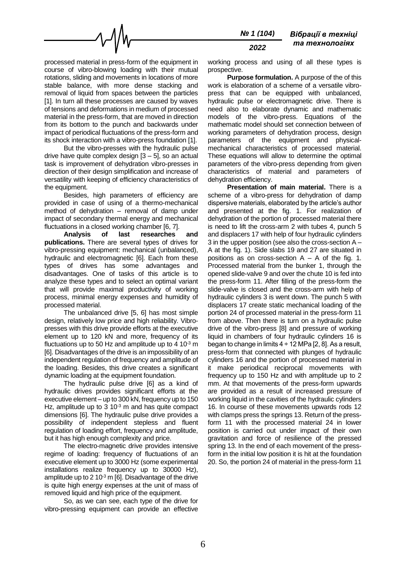

processed material in press-form of the equipment in course of vibro-blowing loading with their mutual rotations, sliding and movements in locations of more stable balance, with more dense stacking and removal of liquid from spaces between the particles [1]. In turn all these processes are caused by waves of tensions and deformations in medium of processed material in the press-form, that are moved in direction from its bottom to the punch and backwards under impact of periodical fluctuations of the press-form and its shock interaction with a vibro-press foundation [1].

But the vibro-presses with the hydraulic pulse drive have quite complex design [3 – 5], so an actual task is improvement of dehydration vibro-presses in direction of their design simplification and increase of versatility with keeping of efficiency characteristics of the equipment.

Besides, high parameters of efficiency are provided in case of using of a thermo-mechanical method of dehydration – removal of damp under impact of secondary thermal energy and mechanical fluctuations in a closed working chamber [6, 7].

**Analysis of last researches and publications.** There are several types of drives for vibro-pressing equipment: mechanical (unbalanced), hydraulic and electromagnetic [6]. Each from these types of drives has some advantages and disadvantages. One of tasks of this article is to analyze these types and to select an optimal variant that will provide maximal productivity of working process, minimal energy expenses and humidity of processed material.

The unbalanced drive [5, 6] has most simple design, relatively low price and high reliability. Vibropresses with this drive provide efforts at the executive element up to 120 kN and more, frequency of its fluctuations up to 50 Hz and amplitude up to 4  $10^{-3}$  m [6]. Disadvantages of the drive is an impossibility of an independent regulation of frequency and amplitude of the loading. Besides, this drive creates a significant dynamic loading at the equipment foundation.

The hydraulic pulse drive [6] as a kind of hydraulic drives provides significant efforts at the executive element – up to 300 kN, frequency up to 150 Hz, amplitude up to  $3 \times 10^{-3}$  m and has quite compact dimensions [6]. The hydraulic pulse drive provides a possibility of independent stepless and fluent regulation of loading effort, frequency and amplitude, but it has high enough complexity and price.

The electro-magnetic drive provides intensive regime of loading: frequency of fluctuations of an executive element up to 3000 Hz (some experimental installations realize frequency up to 30000 Hz), amplitude up to 2 10 $3$  m [6]. Disadvantage of the drive is quite high energy expenses at the unit of mass of removed liquid and high price of the equipment.

So, as we can see, each type of the drive for vibro-pressing equipment can provide an effective

working process and using of all these types is prospective.

**Purpose formulation.** A purpose of the of this work is elaboration of a scheme of a versatile vibropress that can be equipped with unbalanced, hydraulic pulse or electromagnetic drive. There is need also to elaborate dynamic and mathematic models of the vibro-press. Equations of the mathematic model should set connection between of working parameters of dehydration process, design parameters of the equipment and physicalmechanical characteristics of processed material. These equations will allow to determine the optimal parameters of the vibro-press depending from given characteristics of material and parameters of dehydration efficiency.

**Presentation of main material.** There is a scheme of a vibro-press for dehydration of damp dispersive materials, elaborated by the article's author and presented at the fig. 1. For realization of dehydration of the portion of processed material there is need to lift the cross-arm 2 with tubes 4, punch 5 and displacers 17 with help of four hydraulic cylinders 3 in the upper position (see also the cross-section A – A at the fig. 1). Side slabs 19 and 27 are situated in positions as on cross-section  $A - A$  of the fig. 1. Processed material from the bunker 1, through the opened slide-valve 9 and over the chute 10 is fed into the press-form 11. After filling of the press-form the slide-valve is closed and the cross-arm with help of hydraulic cylinders 3 is went down. The punch 5 with displacers 17 create static mechanical loading of the portion 24 of processed material in the press-form 11 from above. Then there is turn on a hydraulic pulse drive of the vibro-press [8] and pressure of working liquid in chambers of four hydraulic cylinders 16 is began to change in limits  $4 \div 12$  MPa [2, 8]. As a result, press-form that connected with plunges of hydraulic cylinders 16 and the portion of processed material in it make periodical reciprocal movements with frequency up to 150 Hz and with amplitude up to 2 mm. At that movements of the press-form upwards are provided as a result of increased pressure of working liquid in the cavities of the hydraulic cylinders 16. In course of these movements upwards rods 12 with clamps press the springs 13. Return of the pressform 11 with the processed material 24 in lower position is carried out under impact of their own gravitation and force of resilience of the pressed spring 13. In the end of each movement of the pressform in the initial low position it is hit at the foundation 20. So, the portion 24 of material in the press-form 11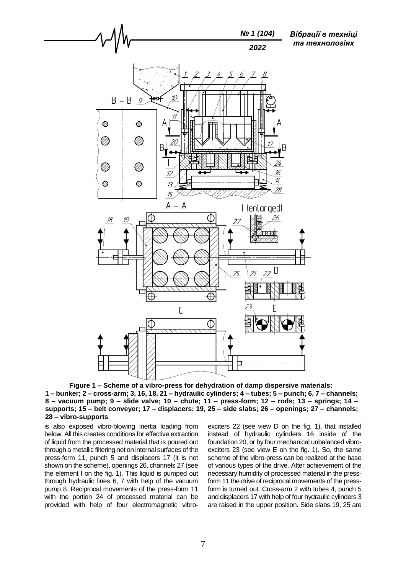

**Figure 1 – Scheme of a vibro-press for dehydration of damp dispersive materials: 1 – bunker; 2 – cross-arm; 3, 16, 18, 21 – hydraulic cylinders; 4 – tubes; 5 – punch; 6, 7 – channels; 8 – vacuum pump; 9 – slide valve; 10 – chute; 11 – press-form; 12 – rods; 13 – springs; 14 – supports; 15 – belt conveyer; 17 – displacers; 19, 25 – side slabs; 26 – openings; 27 – channels; 28 – vibro-supports**

is also exposed vibro-blowing inertia loading from below. All this creates conditions for effective extraction of liquid from the processed material that is poured out through a metallic filtering net on internal surfaces of the press-form 11, punch 5 and displacers 17 (it is not shown on the scheme), openings 26, channels 27 (see the element I on the fig. 1). This liquid is pumped out through hydraulic lines 6, 7 with help of the vacuum pump 8. Reciprocal movements of the press-form 11 with the portion 24 of processed material can be provided with help of four electromagnetic vibro-

exciters 22 (see view D on the fig. 1), that installed instead of hydraulic cylinders 16 inside of the foundation 20, or by four mechanical unbalanced vibroexciters 23 (see view E on the fig. 1). So, the same scheme of the vibro-press can be realized at the base of various types of the drive. After achievement of the necessary humidity of processed material in the pressform 11 the drive of reciprocal movements of the pressform is turned out. Cross-arm 2 with tubes 4, punch 5 and displacers 17 with help of four hydraulic cylinders 3 are raised in the upper position. Side slabs 19, 25 are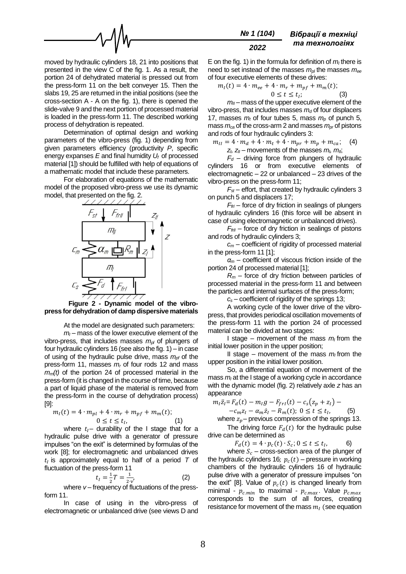

moved by hydraulic cylinders 18, 21 into positions that presented in the view C of the fig. 1. As a result, the portion 24 of dehydrated material is pressed out from the press-form 11 on the belt conveyer 15. Then the slabs 19, 25 are returned in the initial positions (see the cross-section A - A on the fig. 1), there is opened the slide-valve 9 and the next portion of processed material is loaded in the press-form 11. The described working process of dehydration is repeated.

Determination of optimal design and working parameters of the vibro-press (fig. 1) depending from given parameters efficiency (productivity *P*, specific energy expanses *E* and final humidity *U<sup>f</sup>* of processed material [1]) should be fulfilled with help of equations of a mathematic model that include these parameters.

For elaboration of equations of the mathematic model of the proposed vibro-press we use its dynamic model, that presented on the fig. 2.



**Figure 2 - Dynamic model of the vibropress for dehydration of damp dispersive materials**

At the model are designated such parameters:

 $m<sub>l</sub>$  – mass of the lower executive element of the vibro-press, that includes masses *mpl* of plungers of four hydraulic cylinders 16 (see also the fig. 1) – in case of using of the hydraulic pulse drive, mass  $m_{p}f$  of the press-form 11, masses *m<sup>r</sup>* of four rods 12 and mass *mm(t)* of the portion 24 of processed material in the press-form (it is changed in the course of time, because a part of liquid phase of the material is removed from the press-form in the course of dehydration process) [9]:

$$
m_I(t) = 4 \cdot m_{pl} + 4 \cdot m_r + m_{pf} + m_m(t);
$$
  
0 \le t \le t\_I, (1)

where  $t_i$ - durability of the I stage that for a hydraulic pulse drive with a generator of pressure impulses "on the exit" is determined by formulas of the work [8]; for electromagnetic and unbalanced drives  $t_I$  is approximately equal to half of a period  $T$  of fluctuation of the press-form 11

$$
t_{I} = \frac{1}{2}T = \frac{1}{2\nu'}\tag{2}
$$

where *ν* – frequency of fluctuations of the pressform 11.

In case of using in the vibro-press of electromagnetic or unbalanced drive (see views D and

E on the fig. 1) in the formula for definition of  $m<sub>l</sub>$  there is need to set instead of the masses *mpl* the masses *mee* of four executive elements of these drives:

$$
m_I(t) = 4 \cdot m_{ee} + 4 \cdot m_r + m_{pf} + m_m(t);
$$
  

$$
0 \le t \le t_I;
$$
 (3)

 $m<sub>II</sub>$  – mass of the upper executive element of the vibro-press, that includes masses *m<sup>d</sup>* of four displacers 17, masses  $m_t$  of four tubes 5, mass  $m_p$  of punch 5, mass *mca* of the cross-arm 2 and masses *mpr* of pistons and rods of four hydraulic cylinders 3:

 $m_{II} = 4 \cdot m_d + 4 \cdot m_t + 4 \cdot m_{pr} + m_p + m_{ca};$  (4)  $z_i$ ,  $z_{ii}$  – movements of the masses  $m_i$ ,  $m_{ii}$ ;

 $F_d$  – driving force from plungers of hydraulic cylinders 16 or from executive elements of electromagnetic – 22 or unbalanced – 23 drives of the vibro-press on the press-form 11;

 $F_{\text{st}}$  – effort, that created by hydraulic cylinders 3 on punch 5 and displacers 17;

*FfrI* – force of dry friction in sealings of plungers of hydraulic cylinders 16 (this force will be absent in case of using electromagnetic or unbalanced drives).

*FfrII* – force of dry friction in sealings of pistons and rods of hydraulic cylinders 3;

*c<sup>m</sup>* – coefficient of rigidity of processed material in the press-form 11 [1];

*α<sup>m</sup>* – coefficient of viscous friction inside of the portion 24 of processed material [1];

*R<sup>m</sup>* – force of dry friction between particles of processed material in the press-form 11 and between the particles and internal surfaces of the press-form;

*c<sup>s</sup>* – coefficient of rigidity of the springs 13;

A working cycle of the lower drive of the vibropress, that provides periodical oscillation movements of the press-form 11 with the portion 24 of processed material can be divided at two stages:

I stage – movement of the mass  $m_l$  from the initial lower position in the upper position;

II stage – movement of the mass  $m_l$  from the upper position in the initial lower position.

So, a differential equation of movement of the mass  $m<sub>l</sub>$  at the I stage of a working cycle in accordance with the dynamic model (fig. 2) relatively axle *z* has an appearance

$$
m_{I}\ddot{z}_{I} = F_{d}(t) - m_{I}g - F_{fri}(t) - c_{s}(z_{p} + z_{I}) -
$$
  
-
$$
-c_{m}z_{I} - \alpha_{m}\dot{z}_{I} - R_{m}(t); 0 \le t \le t_{I},
$$
 (5)

$$
2m^21
$$
  $2m^21$   $2m^2$ ,  $3m^2$   $3m^2$   $4m^2$   $4m^2$   $5m^2$   $2m^2$   $2m^2$ 

where  $z_p$  – previous compression of the springs 13. The driving force  $F_d(t)$  for the hydraulic pulse drive can be determined as

 $F_d(t) = 4 \cdot p_c(t) \cdot S_c$ ;  $0 \le t \le t_1$ , 6)

where  $S_c$  – cross-section area of the plunger of the hydraulic cylinders 16;  $p_c(t)$  – pressure in working chambers of the hydraulic cylinders 16 of hydraulic pulse drive with a generator of pressure impulses "on the exit" [8]. Value of  $p_c(t)$  is changed linearly from minimal -  $p_{c,min}$  to maximal -  $p_{c,max}$ . Value  $p_{c,max}$ corresponds to the sum of all forces, creating resistance for movement of the mass  $m<sub>l</sub>$  (see equation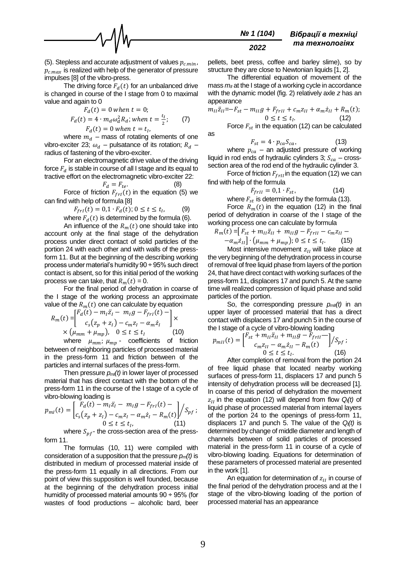

(5). Stepless and accurate adjustment of values  $p_{c,min}$ ,  $p_{c,max}$  is realized with help of the generator of pressure impulses [8] of the vibro-press.

The driving force  $F_d(t)$  for an unbalanced drive is changed in course of the I stage from 0 to maximal value and again to 0

$$
F_d(t) = 0 \text{ when } t = 0;
$$
  
\n
$$
F_d(t) = 4 \cdot m_d \omega_d^2 R_d; \text{ when } t = \frac{t_I}{2};
$$
 (7)  
\n
$$
F_d(t) = 0 \text{ when } t = t_I,
$$

where  $m_d$  – mass of rotating elements of one vibro-exciter 23;  $\omega_d$  – pulsatance of its rotation;  $R_d$  – radius of fastening of the vibro-exciter.

For an electromagnetic drive value of the driving force  $F_d$  is stable in course of all I stage and its equal to tractive effort on the electromagnetic vibro-exciter 22:

$$
F_d = F_{te}.
$$
 (8)

as

Force of friction  $F_{frl}(t)$  in the equation (5) we can find with help of formula [8]

$$
F_{frl}(t) = 0.1 \cdot F_d(t); 0 \le t \le t_l,
$$
\n(9)  
\nwhere  $F_{-}(t)$  is determined by the formula (6)

where  $F_d(t)$  is determined by the formula (6).

An influence of the  $R_m(t)$  one should take into account only at the final stage of the dehydration process under direct contact of solid particles of the portion 24 with each other and with walls of the pressform 11. But at the beginning of the describing working process under material's humidity 90 ÷ 95% such direct contact is absent, so for this initial period of the working process we can take, that  $R_m(t) = 0$ .

For the final period of dehydration in coarse of the I stage of the working process an approximate value of the  $R_m(t)$  one can calculate by equation

$$
R_m(t) = \begin{bmatrix} F_d(t) - m_1 \ddot{z}_1 - m_1 g - F_{fri}(t) - \\ c_s(z_p + z_i) - c_m z_i - \alpha_m \dot{z}_i \end{bmatrix} \times
$$
  
×  $(\mu_{mm} + \mu_{mp}), 0 \le t \le t_1$  (10)  
when  $\mu_{mn}$ 

where  $\mu_{mm}$ ;  $\mu_{mp}$  - coefficients of friction between of neighboring particles of processed material in the press-form 11 and friction between of the particles and internal surfaces of the press-form.

Then pressure  $p_m(t)$  in lower layer of processed material that has direct contact with the bottom of the press-form 11 in the course of the I stage of a cycle of vibro-blowing loading is

$$
p_{ml}(t) = \begin{bmatrix} F_d(t) - m_l \ddot{z}_l - m_l g - F_{frl}(t) - \\ c_s (z_p + z_l) - c_m z_l - \alpha_m \dot{z}_l - R_m(t) \end{bmatrix} / S_{pf};
$$
  
0 \le t \le t\_I, (11)

where  $S_{\textit{pf}}$ - the cross-section area of the pressform 11.

The formulas (10, 11) were compiled with consideration of a supposition that the pressure *pm(t)* is distributed in medium of processed material inside of the press-form 11 equally in all directions. From our point of view this supposition is well founded, because at the beginning of the dehydration process initial humidity of processed material amounts 90 ÷ 95% (for wastes of food productions – alcoholic bard, beer

#### *№ 1 (104) 2022 Вібрації в техніці та технологіях*

pellets, beet press, coffee and barley slime), so by structure they are close to Newtonian liquids [1, 2].

The differential equation of movement of the mass  $m_{II}$  at the I stage of a working cycle in accordance with the dynamic model (fig. 2) relatively axle *z* has an appearance

$$
m_{II}\ddot{z}_{II} = -F_{st} - m_{II}g + F_{frII} + c_m z_{II} + \alpha_m \dot{z}_{II} + R_m(t);
$$
  
0 \le t \le t<sub>I</sub>. (12)

Force  $F_{st}$  in the equation (12) can be calculated

$$
F_{st} = 4 \cdot p_{ca} S_{ca}, \qquad (13)
$$

where  $p_{ca}$  – an adjusted pressure of working liquid in rod ends of hydraulic cylinders 3;  $S_{ca}$  – crosssection area of the rod end of the hydraulic cylinder 3.

Force of friction  $F_{f r I I}$  in the equation (12) we can find with help of the formula

$$
F_{frII} = 0.1 \cdot F_{st},\tag{14}
$$

where  $F_{st}$  is determined by the formula (13).

Force  $R_m(t)$  in the equation (12) in the final period of dehydration in coarse of the I stage of the working process one can calculate by formula

$$
R_m(t) = [F_{st} + m_{II}\ddot{z}_{II} + m_{II}g - F_{frII} - c_m z_{II} - a_m \dot{z}_{II}] \cdot (\mu_{mm} + \mu_{mp}); 0 \le t \le t_I.
$$
 (15)

Most intensive movement  $z_{II}$  will take place at the very beginning of the dehydration process in course of removal of free liquid phase from layers of the portion 24, that have direct contact with working surfaces of the press-form 11, displacers 17 and punch 5. At the same time will realized compression of liquid phase and solid particles of the portion.

So, the corresponding pressure  $p_{null}(t)$  in an upper layer of processed material that has a direct contact with displacers 17 and punch 5 in the course of the I stage of a cycle of vibro-blowing loading

$$
p_{mII}(t) = \begin{bmatrix} F_{st} + m_{II} \ddot{z}_{II} + m_{II} g - F_{frII} - \\ c_m z_{II} - \alpha_m \dot{z}_{II} - R_m(t) \\ 0 \le t \le t_I. \end{bmatrix} / S_{pf} ;
$$
\n(16)

After completion of removal from the portion 24 of free liquid phase that located nearby working surfaces of press-form 11, displacers 17 and punch 5 intensity of dehydration process will be decreased [1]. In coarse of this period of dehydration the movement  $z_{II}$  in the equation (12) will depend from flow  $Q_i(t)$  of liquid phase of processed material from internal layers of the portion 24 to the openings of press-form 11, displacers 17 and punch 5. The value of the *Ql(t)* is determined by change of middle diameter and length of channels between of solid particles of processed material in the press-form 11 in course of a cycle of vibro-blowing loading. Equations for determination of these parameters of processed material are presented in the work [1].

An equation for determination of  $z_{II}$  in course of the final period of the dehydration process and at the I stage of the vibro-blowing loading of the portion of processed material has an appearance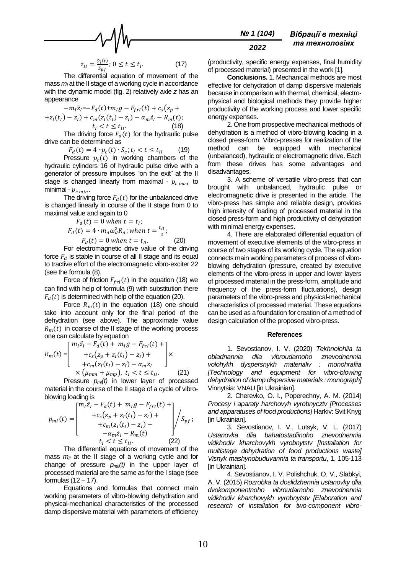$$
\underbrace{\hspace{2.5cm}} \sim \text{10}
$$

$$
\dot{z}_{II} = \frac{Q_l(t)}{s_{pf}}; 0 \le t \le t_I.
$$
 (17)

The differential equation of movement of the mass  $m<sub>l</sub>$  at the II stage of a working cycle in accordance with the dynamic model (fig. 2) relatively axle *z* has an appearance

$$
-m_1 \ddot{z}_i = -F_d(t) + m_1 g - F_{fri}(t) + c_s (z_p + z_i(t_l) - z_l) + c_m (z_i(t_l) - z_l) - \alpha_m \dot{z}_i - R_m(t);
$$
  

$$
t_l < t \le t_{ll} \tag{18}
$$

The driving force  $F_d(t)$  for the hydraulic pulse drive can be determined as

 $F_d(t) = 4 \cdot p_c(t) \cdot S_c$ ;  $t_I < t \le t_{II}$  (19)

Pressure  $p_c(t)$  in working chambers of the hydraulic cylinders 16 of hydraulic pulse drive with a generator of pressure impulses "on the exit" at the II stage is changed linearly from maximal -  $p_{c,max}$  to minimal -  $p_{c,min}$ .

The driving force  $F_d(t)$  for the unbalanced drive is changed linearly in course of the II stage from 0 to maximal value and again to 0

$$
F_d(t) = 0 \text{ when } t = t_i;
$$
  
\n
$$
F_d(t) = 4 \cdot m_d \omega_d^2 R_d; \text{ when } t = \frac{t_{II}}{2};
$$
  
\n
$$
F_d(t) = 0 \text{ when } t = t_{II}.
$$
  
\nEer electromagnetic drive, while of the drift

For electromagnetic drive value of the driving force  $F_d$  is stable in course of all II stage and its equal to tractive effort of the electromagnetic vibro-exciter 22 (see the formula (8).

Force of friction  $F_{f r I}(t)$  in the equation (18) we can find with help of formula (9) with substitution there  $F<sub>d</sub>(t)$  is determined with help of the equation (20).

Force  $R_m(t)$  in the equation (18) one should take into account only for the final period of the dehydration (see above). The approximate value  $R_m(t)$  in coarse of the II stage of the working process one can calculate by equation

$$
R_m(t) = \begin{bmatrix} m_l \ddot{z}_l - F_d(t) + m_l g - F_{frl}(t) + \\ + c_s (z_p + z_l(t_l) - z_l) + \\ + c_m (z_l(t_l) - z_l) - \alpha_m \dot{z}_l \\ \times (\mu_{mm} + \mu_{mp}), \ t_l < t \le t_{ll}. \end{bmatrix} \times (21)
$$

Pressure  $p_m(t)$  in lower layer of processed material in the course of the II stage of a cycle of vibroblowing loading is

$$
p_{ml}(t) = \begin{bmatrix} m_l \ddot{z}_l - F_d(t) + m_l g - F_{frl}(t) + \\ + c_s (z_p + z_l(t_l) - z_l) + \\ + c_m (z_l(t_l) - z_l) - \\ -\alpha_m \dot{z}_l - R_m(t) \end{bmatrix} / S_{pf};
$$
  

$$
t_l < t \le t_{II}.
$$
 (22)

The differential equations of movement of the mass  $m_{II}$  at the II stage of a working cycle and for change of pressure  $p_{mII}(t)$  in the upper layer of processed material are the same as for the I stage (see formulas  $(12 - 17)$ .

Equations and formulas that connect main working parameters of vibro-blowing dehydration and physical-mechanical characteristics of the processed damp dispersive material with parameters of efficiency

#### *№ 1 (104) 2022 Вібрації в техніці та технологіях*

(productivity, specific energy expenses, final humidity of processed material) presented in the work [1].

**Conclusions.** 1. Mechanical methods are most effective for dehydration of damp dispersive materials because in comparison with thermal, chemical, electrophysical and biological methods they provide higher productivity of the working process and lower specific energy expenses.

2. One from prospective mechanical methods of dehydration is a method of vibro-blowing loading in a closed press-form. Vibro-presses for realization of the method can be equipped with mechanical (unbalanced), hydraulic or electromagnetic drive. Each from these drives has some advantages and disadvantages.

3. A scheme of versatile vibro-press that can brought with unbalanced, hydraulic pulse or electromagnetic drive is presented in the article. The vibro-press has simple and reliable design, provides high intensity of loading of processed material in the closed press-form and high productivity of dehydration with minimal energy expenses.

4. There are elaborated differential equation of movement of executive elements of the vibro-press in course of two stages of its working cycle. The equation connects main working parameters of process of vibroblowing dehydration (pressure, created by executive elements of the vibro-press in upper and lower layers of processed material in the press-form, amplitude and frequency of the press-form fluctuations), design parameters of the vibro-press and physical-mechanical characteristics of processed material. These equations can be used as a foundation for creation of a method of design calculation of the proposed vibro-press.

#### **References**

1. Sevostianov, I. V. (2020) *Tekhnolohiia ta obladnannia dlia vibroudarnoho znevodnennia volohykh dyspersnykh materialiv : monohrafiia [Technology and equipment for vibro-blowing dehydration of damp dispersive materials : monograph]* Vinnytsia: VNAU [in Ukrainian].

2. Cherevko, O. I., Poperechny, A. M. (2014) *Procesy i aparaty harchovyh vyrobnycztv [Processes and apparatuses of food productions]* Harkiv: Svit Knyg [in Ukrainian].

3. Sevostianov, I. V., Lutsyk, V. L. (2017) *Ustanovka dlia bahatostadiinoho znevodnennia vidkhodiv kharchovykh vyrobnytstv [Installation for multistage dehydration of food productions waste] Visnyk mashynobuduvannia ta transportu*, 1, 105-113 **[in Ukrainian].** 

4. Sevostianov, I. V. Polishchuk, O. V., Slabkyi, A. V. (2015) *Rozrobka ta doslidzhennia ustanovky dlia dvokomponentnoho vibroudarnoho znevodnennia vidkhodiv kharchovykh vyrobnytstv [Elaboration and research of installation for two-component vibro-*